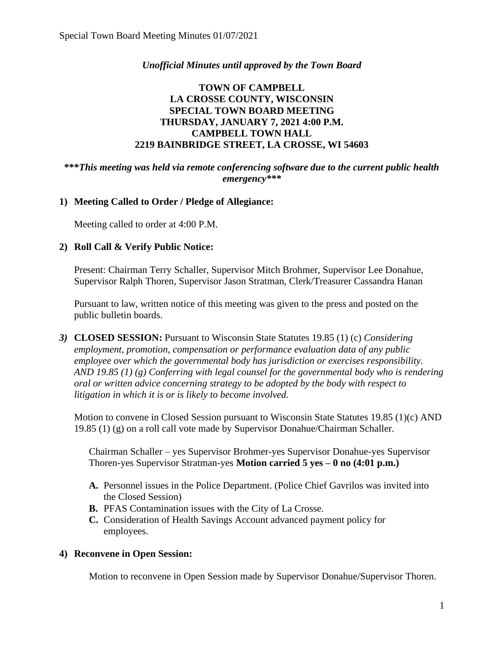### *Unofficial Minutes until approved by the Town Board*

## **TOWN OF CAMPBELL LA CROSSE COUNTY, WISCONSIN SPECIAL TOWN BOARD MEETING THURSDAY, JANUARY 7, 2021 4:00 P.M. CAMPBELL TOWN HALL 2219 BAINBRIDGE STREET, LA CROSSE, WI 54603**

#### **\*\*\****This meeting was held via remote conferencing software due to the current public health emergency\*\*\**

#### **1) Meeting Called to Order / Pledge of Allegiance:**

Meeting called to order at 4:00 P.M.

#### **2) Roll Call & Verify Public Notice:**

Present: Chairman Terry Schaller, Supervisor Mitch Brohmer, Supervisor Lee Donahue, Supervisor Ralph Thoren, Supervisor Jason Stratman, Clerk/Treasurer Cassandra Hanan

Pursuant to law, written notice of this meeting was given to the press and posted on the public bulletin boards.

*3)* **CLOSED SESSION:** Pursuant to Wisconsin State Statutes 19.85 (1) (c) *Considering employment, promotion, compensation or performance evaluation data of any public employee over which the governmental body has jurisdiction or exercises responsibility. AND 19.85 (1) (g) Conferring with legal counsel for the governmental body who is rendering oral or written advice concerning strategy to be adopted by the body with respect to litigation in which it is or is likely to become involved.*

Motion to convene in Closed Session pursuant to Wisconsin State Statutes 19.85 (1)(c) AND 19.85 (1) (g) on a roll call vote made by Supervisor Donahue/Chairman Schaller.

Chairman Schaller – yes Supervisor Brohmer-yes Supervisor Donahue-yes Supervisor Thoren-yes Supervisor Stratman-yes **Motion carried 5 yes – 0 no (4:01 p.m.)**

- **A.** Personnel issues in the Police Department. (Police Chief Gavrilos was invited into the Closed Session)
- **B.** PFAS Contamination issues with the City of La Crosse.
- **C.** Consideration of Health Savings Account advanced payment policy for employees.

#### **4) Reconvene in Open Session:**

Motion to reconvene in Open Session made by Supervisor Donahue/Supervisor Thoren.